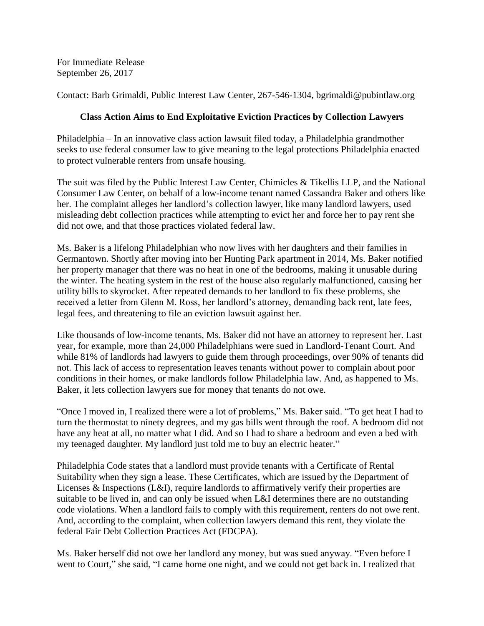For Immediate Release September 26, 2017

Contact: Barb Grimaldi, Public Interest Law Center, 267-546-1304, bgrimaldi@pubintlaw.org

## **Class Action Aims to End Exploitative Eviction Practices by Collection Lawyers**

Philadelphia – In an innovative class action lawsuit filed today, a Philadelphia grandmother seeks to use federal consumer law to give meaning to the legal protections Philadelphia enacted to protect vulnerable renters from unsafe housing.

The suit was filed by the Public Interest Law Center, Chimicles & Tikellis LLP, and the National Consumer Law Center, on behalf of a low-income tenant named Cassandra Baker and others like her. The complaint alleges her landlord's collection lawyer, like many landlord lawyers, used misleading debt collection practices while attempting to evict her and force her to pay rent she did not owe, and that those practices violated federal law.

Ms. Baker is a lifelong Philadelphian who now lives with her daughters and their families in Germantown. Shortly after moving into her Hunting Park apartment in 2014, Ms. Baker notified her property manager that there was no heat in one of the bedrooms, making it unusable during the winter. The heating system in the rest of the house also regularly malfunctioned, causing her utility bills to skyrocket. After repeated demands to her landlord to fix these problems, she received a letter from Glenn M. Ross, her landlord's attorney, demanding back rent, late fees, legal fees, and threatening to file an eviction lawsuit against her.

Like thousands of low-income tenants, Ms. Baker did not have an attorney to represent her. Last year, for example, more than 24,000 Philadelphians were sued in Landlord-Tenant Court. And while 81% of landlords had lawyers to guide them through proceedings, over 90% of tenants did not. This lack of access to representation leaves tenants without power to complain about poor conditions in their homes, or make landlords follow Philadelphia law. And, as happened to Ms. Baker, it lets collection lawyers sue for money that tenants do not owe.

"Once I moved in, I realized there were a lot of problems," Ms. Baker said. "To get heat I had to turn the thermostat to ninety degrees, and my gas bills went through the roof. A bedroom did not have any heat at all, no matter what I did. And so I had to share a bedroom and even a bed with my teenaged daughter. My landlord just told me to buy an electric heater."

Philadelphia Code states that a landlord must provide tenants with a Certificate of Rental Suitability when they sign a lease. These Certificates, which are issued by the Department of Licenses & Inspections (L&I), require landlords to affirmatively verify their properties are suitable to be lived in, and can only be issued when L&I determines there are no outstanding code violations. When a landlord fails to comply with this requirement, renters do not owe rent. And, according to the complaint, when collection lawyers demand this rent, they violate the federal Fair Debt Collection Practices Act (FDCPA).

Ms. Baker herself did not owe her landlord any money, but was sued anyway. "Even before I went to Court," she said, "I came home one night, and we could not get back in. I realized that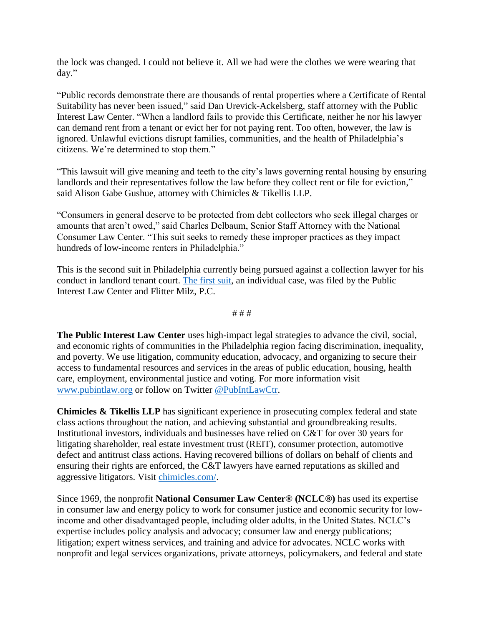the lock was changed. I could not believe it. All we had were the clothes we were wearing that day."

"Public records demonstrate there are thousands of rental properties where a Certificate of Rental Suitability has never been issued," said Dan Urevick-Ackelsberg, staff attorney with the Public Interest Law Center. "When a landlord fails to provide this Certificate, neither he nor his lawyer can demand rent from a tenant or evict her for not paying rent. Too often, however, the law is ignored. Unlawful evictions disrupt families, communities, and the health of Philadelphia's citizens. We're determined to stop them."

"This lawsuit will give meaning and teeth to the city's laws governing rental housing by ensuring landlords and their representatives follow the law before they collect rent or file for eviction," said Alison Gabe Gushue, attorney with Chimicles & Tikellis LLP.

"Consumers in general deserve to be protected from debt collectors who seek illegal charges or amounts that aren't owed," said Charles Delbaum, Senior Staff Attorney with the National Consumer Law Center. "This suit seeks to remedy these improper practices as they impact hundreds of low-income renters in Philadelphia."

This is the second suit in Philadelphia currently being pursued against a collection lawyer for his conduct in landlord tenant court. [The first suit,](https://www.pubintlaw.org/cases-and-projects/gerrell-martin-v-levy-law-fighting-for-renters-in-landlord-tenant-court/) an individual case, was filed by the Public Interest Law Center and Flitter Milz, P.C.

# # #

**The Public Interest Law Center** uses high-impact legal strategies to advance the civil, social, and economic rights of communities in the Philadelphia region facing discrimination, inequality, and poverty. We use litigation, community education, advocacy, and organizing to secure their access to fundamental resources and services in the areas of public education, housing, health care, employment, environmental justice and voting. For more information visit [www.pubintlaw.org](http://www.pubintlaw.org/) or follow on Twitter [@PubIntLawCtr.](https://twitter.com/pubintlawctr)

**Chimicles & Tikellis LLP** has significant experience in prosecuting complex federal and state class actions throughout the nation, and achieving substantial and groundbreaking results. Institutional investors, individuals and businesses have relied on C&T for over 30 years for litigating shareholder, real estate investment trust (REIT), consumer protection, automotive defect and antitrust class actions. Having recovered billions of dollars on behalf of clients and ensuring their rights are enforced, the C&T lawyers have earned reputations as skilled and aggressive litigators. Visit [chimicles.com/.](https://chimicles.com/)

Since 1969, the nonprofit **National Consumer Law Center® (NCLC®)** has used its expertise in consumer law and energy policy to work for consumer justice and economic security for lowincome and other disadvantaged people, including older adults, in the United States. NCLC's expertise includes policy analysis and advocacy; consumer law and energy publications; litigation; expert witness services, and training and advice for advocates. NCLC works with nonprofit and legal services organizations, private attorneys, policymakers, and federal and state